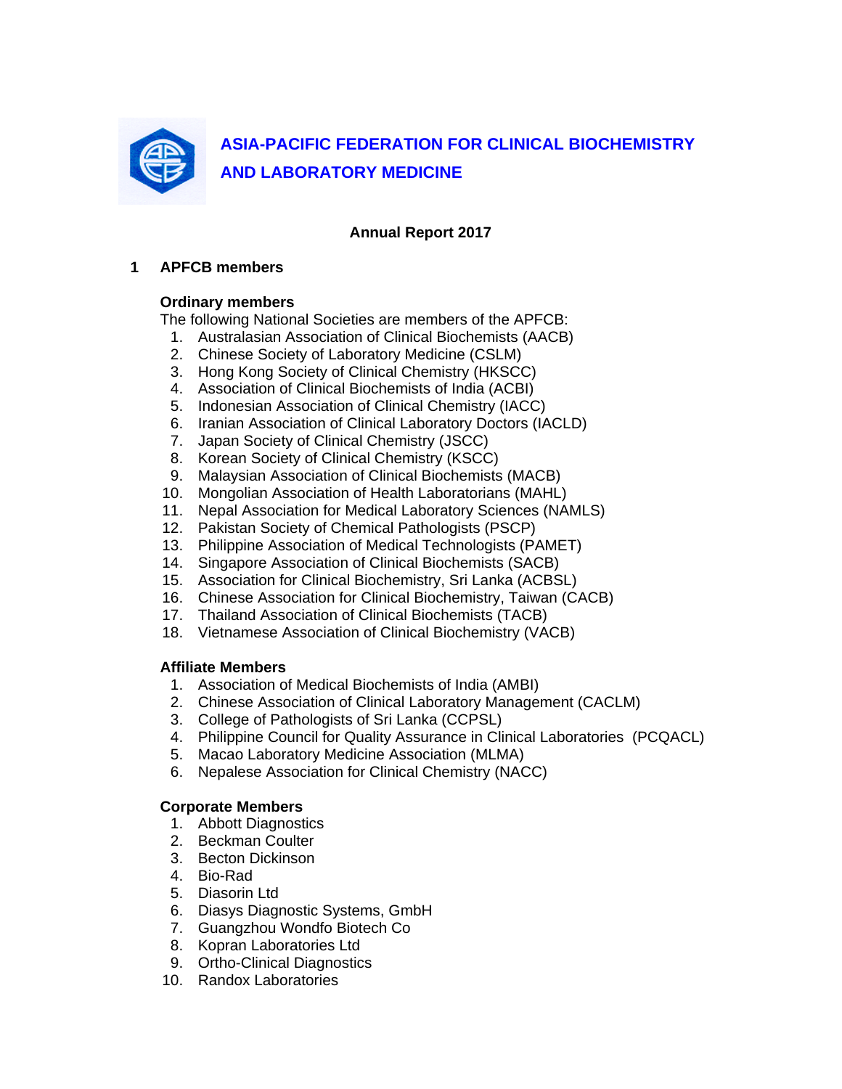

## **Annual Report 2017**

### **1 APFCB members**

### **Ordinary members**

The following National Societies are members of the APFCB:

- 1. Australasian Association of Clinical Biochemists (AACB)
- 2. Chinese Society of Laboratory Medicine (CSLM)
- 3. Hong Kong Society of Clinical Chemistry (HKSCC)
- 4. Association of Clinical Biochemists of India (ACBI)
- 5. Indonesian Association of Clinical Chemistry (IACC)
- 6. Iranian Association of Clinical Laboratory Doctors (IACLD)
- 7. Japan Society of Clinical Chemistry (JSCC)
- 8. Korean Society of Clinical Chemistry (KSCC)
- 9. Malaysian Association of Clinical Biochemists (MACB)
- 10. Mongolian Association of Health Laboratorians (MAHL)
- 11. Nepal Association for Medical Laboratory Sciences (NAMLS)
- 12. Pakistan Society of Chemical Pathologists (PSCP)
- 13. Philippine Association of Medical Technologists (PAMET)
- 14. Singapore Association of Clinical Biochemists (SACB)
- 15. Association for Clinical Biochemistry, Sri Lanka (ACBSL)
- 16. Chinese Association for Clinical Biochemistry, Taiwan (CACB)
- 17. Thailand Association of Clinical Biochemists (TACB)
- 18. Vietnamese Association of Clinical Biochemistry (VACB)

#### **Affiliate Members**

- 1. Association of Medical Biochemists of India (AMBI)
- 2. Chinese Association of Clinical Laboratory Management (CACLM)
- 3. College of Pathologists of Sri Lanka (CCPSL)
- 4. Philippine Council for Quality Assurance in Clinical Laboratories (PCQACL)
- 5. Macao Laboratory Medicine Association (MLMA)
- 6. Nepalese Association for Clinical Chemistry (NACC)

#### **Corporate Members**

- 1. Abbott Diagnostics
- 2. Beckman Coulter
- 3. Becton Dickinson
- 4. Bio-Rad
- 5. Diasorin Ltd
- 6. Diasys Diagnostic Systems, GmbH
- 7. Guangzhou Wondfo Biotech Co
- 8. Kopran Laboratories Ltd
- 9. Ortho-Clinical Diagnostics
- 10. Randox Laboratories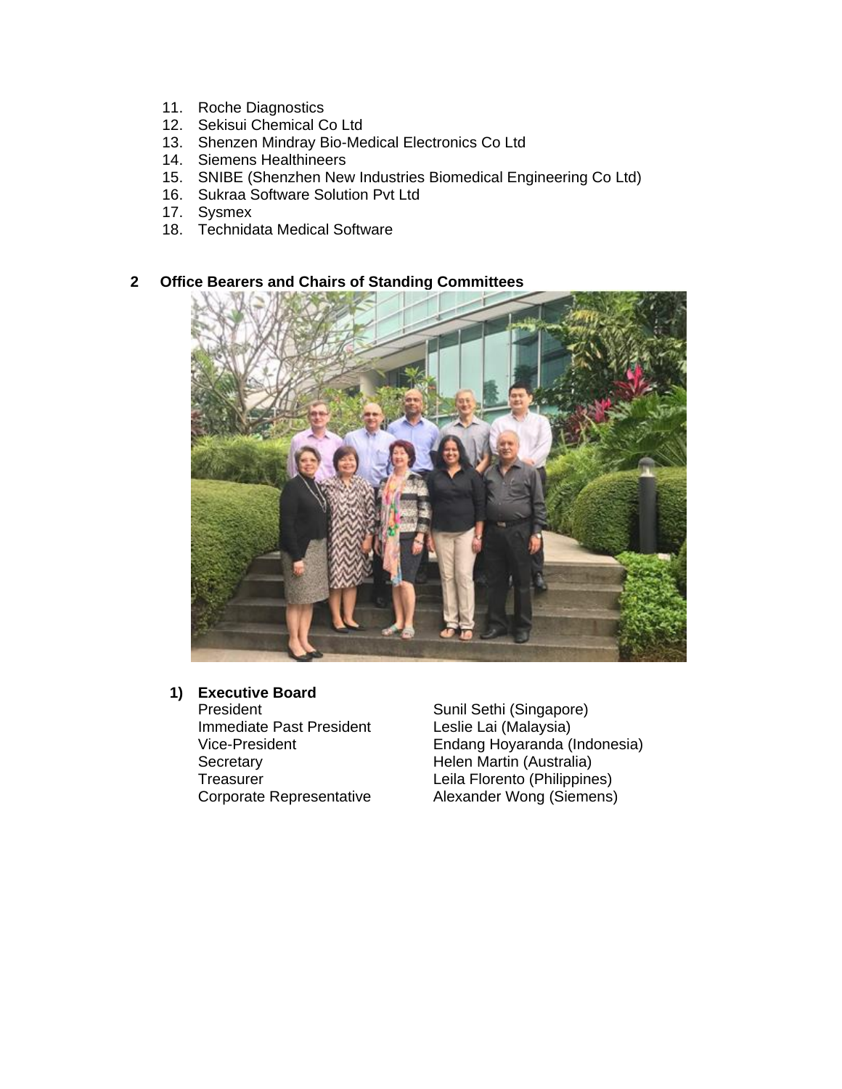- 11. Roche Diagnostics
- 12. Sekisui Chemical Co Ltd
- 13. Shenzen Mindray Bio-Medical Electronics Co Ltd
- 14. Siemens Healthineers
- 15. SNIBE (Shenzhen New Industries Biomedical Engineering Co Ltd)
- 16. Sukraa Software Solution Pvt Ltd
- 17. Sysmex
- 18. Technidata Medical Software

## **2 Office Bearers and Chairs of Standing Committees**



# **1) Executive Board**

President Sunil Sethi (Singapore)<br>
Immediate Past President Leslie Lai (Malaysia) Immediate Past President<br>Vice-President Secretary **Helen Martin (Australia)** 

Endang Hoyaranda (Indonesia) Treasurer Leila Florento (Philippines) Corporate Representative Alexander Wong (Siemens)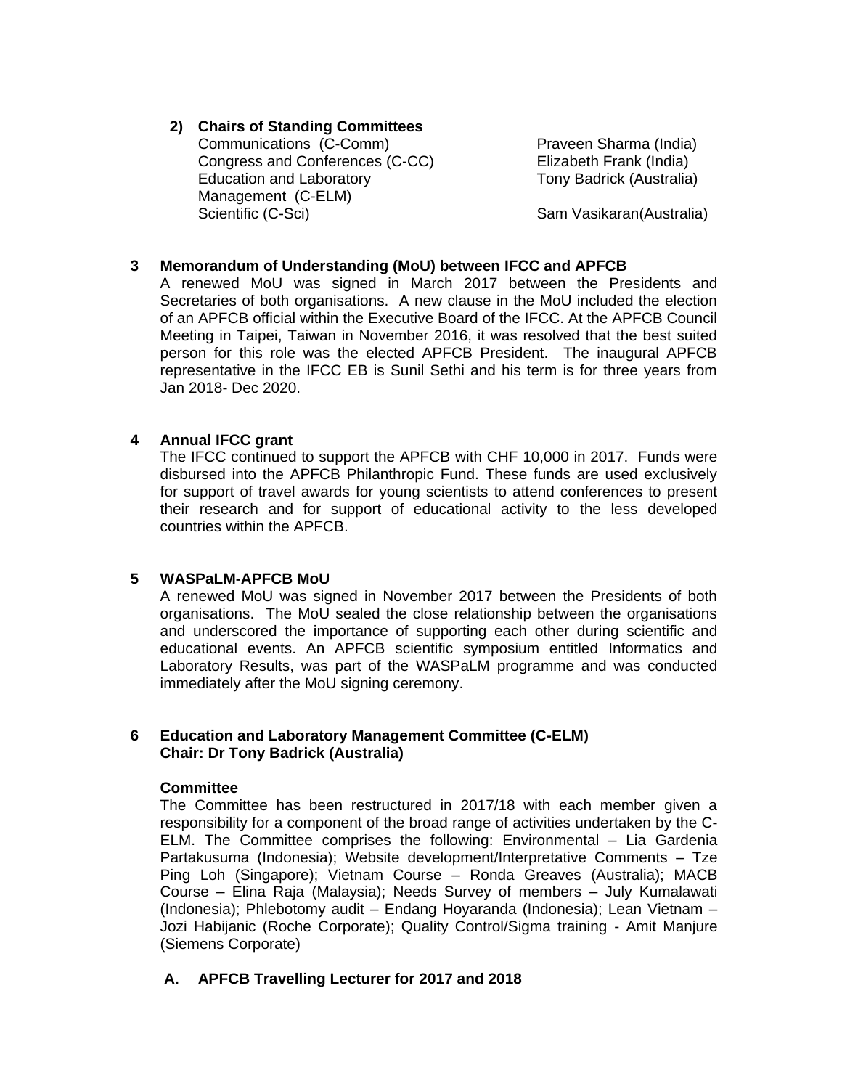# **2) Chairs of Standing Committees**  Communications (C-Comm) Praveen Sharma (India)

Congress and Conferences (C-CC) Elizabeth Frank (India) Education and Laboratory **Example 20** Tony Badrick (Australia) Management (C-ELM) Scientific (C-Sci) Scientific (C-Sci) Sam Vasikaran(Australia)

# **3 Memorandum of Understanding (MoU) between IFCC and APFCB**

A renewed MoU was signed in March 2017 between the Presidents and Secretaries of both organisations. A new clause in the MoU included the election of an APFCB official within the Executive Board of the IFCC. At the APFCB Council Meeting in Taipei, Taiwan in November 2016, it was resolved that the best suited person for this role was the elected APFCB President. The inaugural APFCB representative in the IFCC EB is Sunil Sethi and his term is for three years from Jan 2018- Dec 2020.

# **4 Annual IFCC grant**

The IFCC continued to support the APFCB with CHF 10,000 in 2017. Funds were disbursed into the APFCB Philanthropic Fund. These funds are used exclusively for support of travel awards for young scientists to attend conferences to present their research and for support of educational activity to the less developed countries within the APFCB.

## **5 WASPaLM-APFCB MoU**

A renewed MoU was signed in November 2017 between the Presidents of both organisations. The MoU sealed the close relationship between the organisations and underscored the importance of supporting each other during scientific and educational events. An APFCB scientific symposium entitled Informatics and Laboratory Results, was part of the WASPaLM programme and was conducted immediately after the MoU signing ceremony.

## **6 Education and Laboratory Management Committee (C-ELM) Chair: Dr Tony Badrick (Australia)**

## **Committee**

The Committee has been restructured in 2017/18 with each member given a responsibility for a component of the broad range of activities undertaken by the C-ELM. The Committee comprises the following: Environmental – Lia Gardenia Partakusuma (Indonesia); Website development/Interpretative Comments – Tze Ping Loh (Singapore); Vietnam Course – Ronda Greaves (Australia); MACB Course – Elina Raja (Malaysia); Needs Survey of members – July Kumalawati (Indonesia); Phlebotomy audit – Endang Hoyaranda (Indonesia); Lean Vietnam – Jozi Habijanic (Roche Corporate); Quality Control/Sigma training - Amit Manjure (Siemens Corporate)

# **A. APFCB Travelling Lecturer for 2017 and 2018**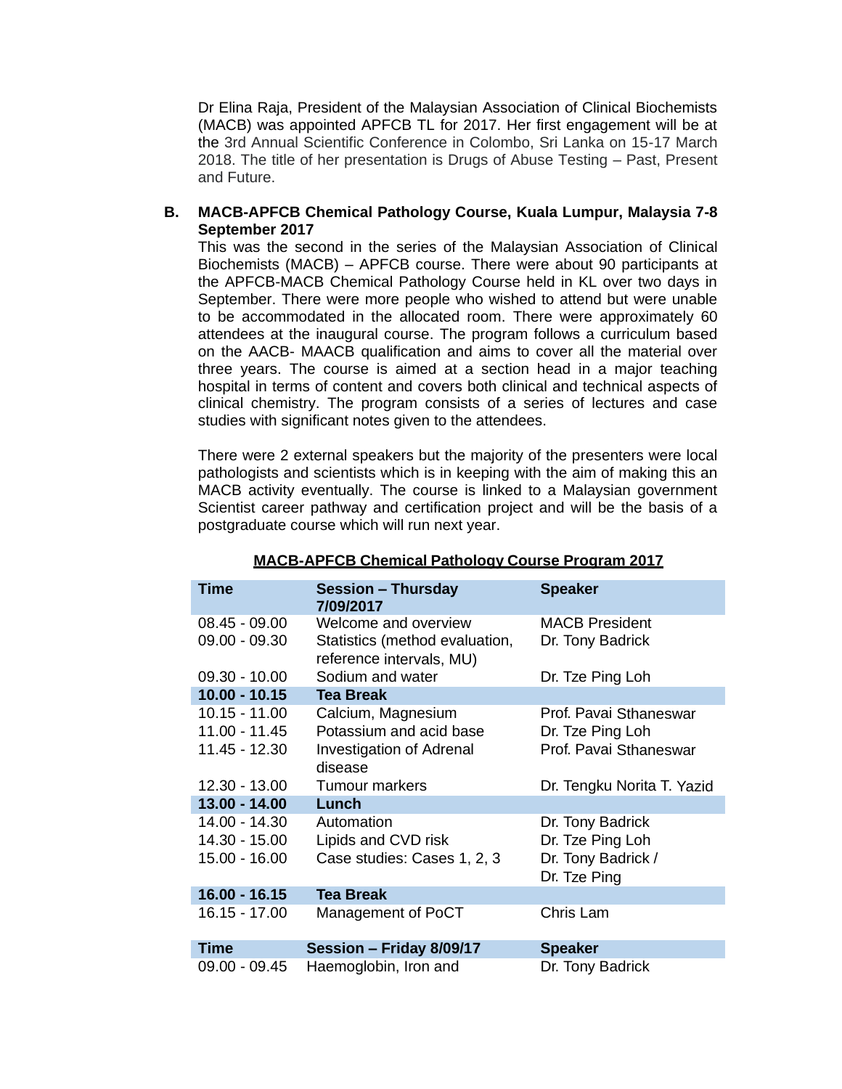Dr Elina Raja, President of the Malaysian Association of Clinical Biochemists (MACB) was appointed APFCB TL for 2017. Her first engagement will be at the 3rd Annual Scientific Conference in Colombo, Sri Lanka on 15-17 March 2018. The title of her presentation is Drugs of Abuse Testing – Past, Present and Future.

### **B. MACB-APFCB Chemical Pathology Course, Kuala Lumpur, Malaysia 7-8 September 2017**

This was the second in the series of the Malaysian Association of Clinical Biochemists (MACB) – APFCB course. There were about 90 participants at the APFCB-MACB Chemical Pathology Course held in KL over two days in September. There were more people who wished to attend but were unable to be accommodated in the allocated room. There were approximately 60 attendees at the inaugural course. The program follows a curriculum based on the AACB- MAACB qualification and aims to cover all the material over three years. The course is aimed at a section head in a major teaching hospital in terms of content and covers both clinical and technical aspects of clinical chemistry. The program consists of a series of lectures and case studies with significant notes given to the attendees.

There were 2 external speakers but the majority of the presenters were local pathologists and scientists which is in keeping with the aim of making this an MACB activity eventually. The course is linked to a Malaysian government Scientist career pathway and certification project and will be the basis of a postgraduate course which will run next year.

| <b>Time</b>                                     | <b>Session - Thursday</b><br>7/09/2017                                             | <b>Speaker</b>                                                             |
|-------------------------------------------------|------------------------------------------------------------------------------------|----------------------------------------------------------------------------|
| $08.45 - 09.00$<br>$09.00 - 09.30$              | Welcome and overview<br>Statistics (method evaluation,<br>reference intervals, MU) | <b>MACB President</b><br>Dr. Tony Badrick                                  |
| $09.30 - 10.00$                                 | Sodium and water                                                                   | Dr. Tze Ping Loh                                                           |
| $10.00 - 10.15$                                 | <b>Tea Break</b>                                                                   |                                                                            |
| 10.15 - 11.00<br>11.00 - 11.45                  | Calcium, Magnesium<br>Potassium and acid base                                      | Prof. Pavai Sthaneswar<br>Dr. Tze Ping Loh                                 |
| 11.45 - 12.30                                   | <b>Investigation of Adrenal</b><br>disease                                         | Prof. Pavai Sthaneswar                                                     |
| 12.30 - 13.00                                   | <b>Tumour markers</b>                                                              | Dr. Tengku Norita T. Yazid                                                 |
| $13.00 - 14.00$                                 | Lunch                                                                              |                                                                            |
| 14.00 - 14.30<br>14.30 - 15.00<br>15.00 - 16.00 | Automation<br>Lipids and CVD risk<br>Case studies: Cases 1, 2, 3                   | Dr. Tony Badrick<br>Dr. Tze Ping Loh<br>Dr. Tony Badrick /<br>Dr. Tze Ping |
| $16.00 - 16.15$                                 | <b>Tea Break</b>                                                                   |                                                                            |
| 16.15 - 17.00                                   | Management of PoCT                                                                 | Chris Lam                                                                  |
| <b>Time</b>                                     | Session - Friday 8/09/17                                                           | <b>Speaker</b>                                                             |
| $09.00 - 09.45$                                 | Haemoglobin, Iron and                                                              | Dr. Tony Badrick                                                           |

#### **MACB-APFCB Chemical Pathology Course Program 2017**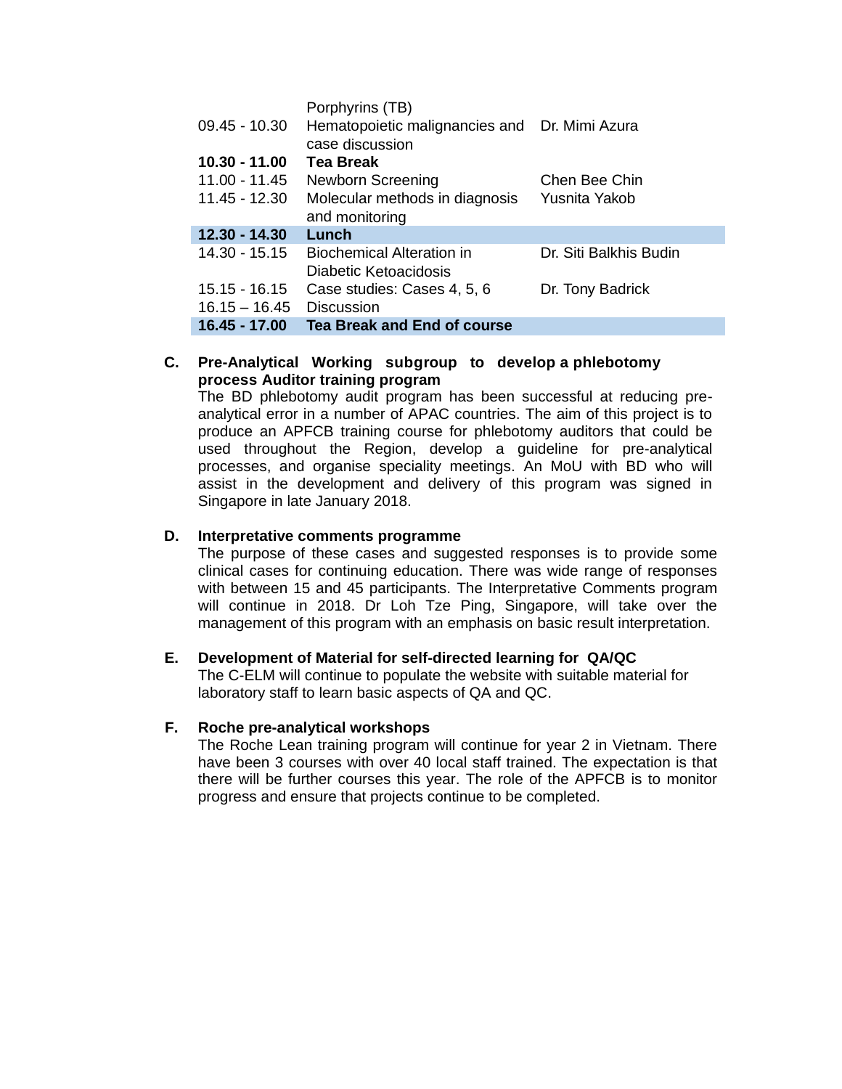| $09.45 - 10.30$ | Porphyrins (TB)<br>Hematopoietic malignancies and Dr. Mimi Azura<br>case discussion |                        |
|-----------------|-------------------------------------------------------------------------------------|------------------------|
| 10.30 - 11.00   | <b>Tea Break</b>                                                                    |                        |
| 11.00 - 11.45   | <b>Newborn Screening</b>                                                            | Chen Bee Chin          |
| 11.45 - 12.30   | Molecular methods in diagnosis<br>and monitoring                                    | Yusnita Yakob          |
| $12.30 - 14.30$ | Lunch                                                                               |                        |
| 14.30 - 15.15   | <b>Biochemical Alteration in</b><br>Diabetic Ketoacidosis                           | Dr. Siti Balkhis Budin |
| $15.15 - 16.15$ | Case studies: Cases 4, 5, 6                                                         | Dr. Tony Badrick       |
| $16.15 - 16.45$ | <b>Discussion</b>                                                                   |                        |
| 16.45 - 17.00   | Tea Break and End of course                                                         |                        |

## **C. Pre-Analytical Working subgroup to develop a phlebotomy process Auditor training program**

The BD phlebotomy audit program has been successful at reducing preanalytical error in a number of APAC countries. The aim of this project is to produce an APFCB training course for phlebotomy auditors that could be used throughout the Region, develop a guideline for pre-analytical processes, and organise speciality meetings. An MoU with BD who will assist in the development and delivery of this program was signed in Singapore in late January 2018.

#### **D. Interpretative comments programme**

The purpose of these cases and suggested responses is to provide some clinical cases for continuing education. There was wide range of responses with between 15 and 45 participants. The Interpretative Comments program will continue in 2018. Dr Loh Tze Ping, Singapore, will take over the management of this program with an emphasis on basic result interpretation.

#### **E. Development of Material for self-directed learning for QA/QC**

The C-ELM will continue to populate the website with suitable material for laboratory staff to learn basic aspects of QA and QC.

#### **F. Roche pre-analytical workshops**

The Roche Lean training program will continue for year 2 in Vietnam. There have been 3 courses with over 40 local staff trained. The expectation is that there will be further courses this year. The role of the APFCB is to monitor progress and ensure that projects continue to be completed.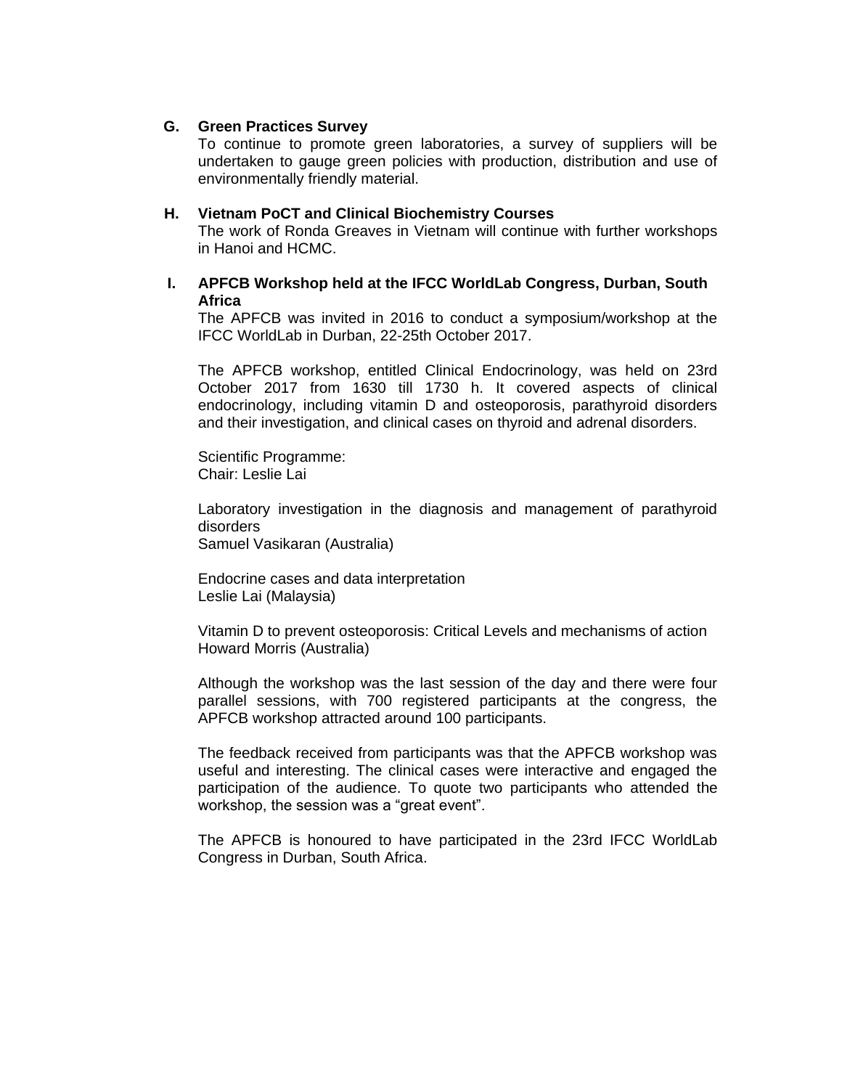#### **G. Green Practices Survey**

To continue to promote green laboratories, a survey of suppliers will be undertaken to gauge green policies with production, distribution and use of environmentally friendly material.

#### **H. Vietnam PoCT and Clinical Biochemistry Courses**

The work of Ronda Greaves in Vietnam will continue with further workshops in Hanoi and HCMC.

### **I. APFCB Workshop held at the IFCC WorldLab Congress, Durban, South Africa**

The APFCB was invited in 2016 to conduct a symposium/workshop at the IFCC WorldLab in Durban, 22-25th October 2017.

The APFCB workshop, entitled Clinical Endocrinology, was held on 23rd October 2017 from 1630 till 1730 h. It covered aspects of clinical endocrinology, including vitamin D and osteoporosis, parathyroid disorders and their investigation, and clinical cases on thyroid and adrenal disorders.

Scientific Programme: Chair: Leslie Lai

Laboratory investigation in the diagnosis and management of parathyroid disorders

Samuel Vasikaran (Australia)

Endocrine cases and data interpretation Leslie Lai (Malaysia)

Vitamin D to prevent osteoporosis: Critical Levels and mechanisms of action Howard Morris (Australia)

Although the workshop was the last session of the day and there were four parallel sessions, with 700 registered participants at the congress, the APFCB workshop attracted around 100 participants.

The feedback received from participants was that the APFCB workshop was useful and interesting. The clinical cases were interactive and engaged the participation of the audience. To quote two participants who attended the workshop, the session was a "great event".

The APFCB is honoured to have participated in the 23rd IFCC WorldLab Congress in Durban, South Africa.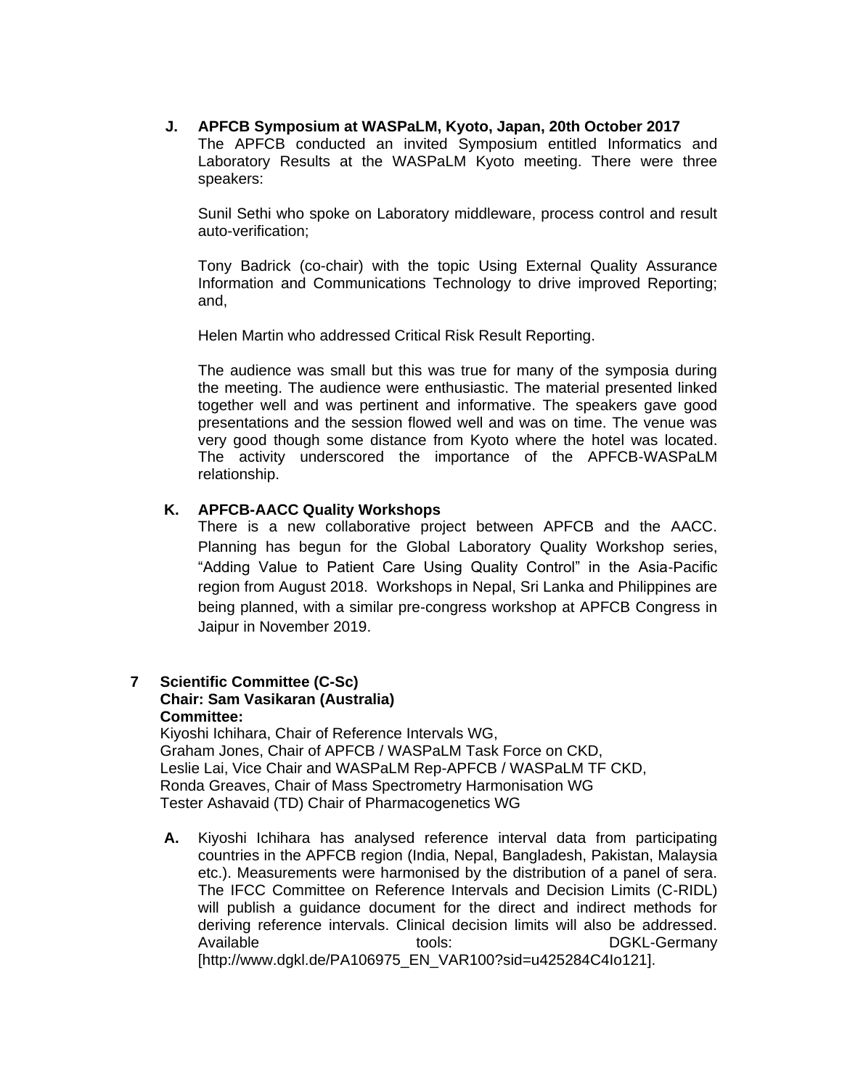**J. APFCB Symposium at WASPaLM, Kyoto, Japan, 20th October 2017** The APFCB conducted an invited Symposium entitled Informatics and Laboratory Results at the WASPaLM Kyoto meeting. There were three speakers:

Sunil Sethi who spoke on Laboratory middleware, process control and result auto-verification;

Tony Badrick (co-chair) with the topic Using External Quality Assurance Information and Communications Technology to drive improved Reporting; and,

Helen Martin who addressed Critical Risk Result Reporting.

The audience was small but this was true for many of the symposia during the meeting. The audience were enthusiastic. The material presented linked together well and was pertinent and informative. The speakers gave good presentations and the session flowed well and was on time. The venue was very good though some distance from Kyoto where the hotel was located. The activity underscored the importance of the APFCB-WASPaLM relationship.

#### **K. APFCB-AACC Quality Workshops**

There is a new collaborative project between APFCB and the AACC. Planning has begun for the Global Laboratory Quality Workshop series, "Adding Value to Patient Care Using Quality Control" in the Asia-Pacific region from August 2018. Workshops in Nepal, Sri Lanka and Philippines are being planned, with a similar pre-congress workshop at APFCB Congress in Jaipur in November 2019.

### **7 Scientific Committee (C-Sc) Chair: Sam Vasikaran (Australia) Committee:**

Kiyoshi Ichihara, Chair of Reference Intervals WG, Graham Jones, Chair of APFCB / WASPaLM Task Force on CKD, Leslie Lai, Vice Chair and WASPaLM Rep-APFCB / WASPaLM TF CKD, Ronda Greaves, Chair of Mass Spectrometry Harmonisation WG Tester Ashavaid (TD) Chair of Pharmacogenetics WG

**A.** Kiyoshi Ichihara has analysed reference interval data from participating countries in the APFCB region (India, Nepal, Bangladesh, Pakistan, Malaysia etc.). Measurements were harmonised by the distribution of a panel of sera. The IFCC Committee on Reference Intervals and Decision Limits (C-RIDL) will publish a guidance document for the direct and indirect methods for deriving reference intervals. Clinical decision limits will also be addressed. Available tools: tools: DGKL-Germany [http://www.dgkl.de/PA106975\_EN\_VAR100?sid=u425284C4Io121].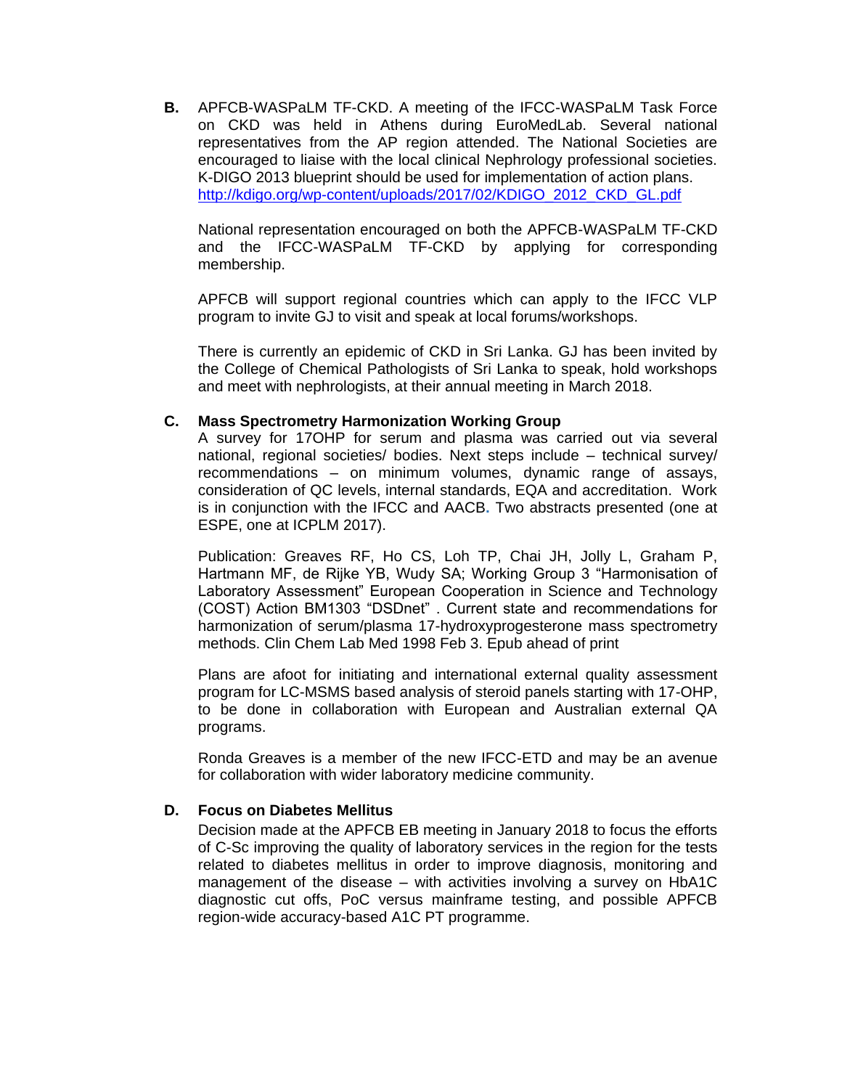**B.** APFCB-WASPaLM TF-CKD. A meeting of the IFCC-WASPaLM Task Force on CKD was held in Athens during EuroMedLab. Several national representatives from the AP region attended. The National Societies are encouraged to liaise with the local clinical Nephrology professional societies. K-DIGO 2013 blueprint should be used for implementation of action plans. [http://kdigo.org/wp-content/uploads/2017/02/KDIGO\\_2012\\_CKD\\_GL.pdf](http://kdigo.org/wp-content/uploads/2017/02/KDIGO_2012_CKD_GL.pdf)

National representation encouraged on both the APFCB-WASPaLM TF-CKD and the IFCC-WASPaLM TF-CKD by applying for corresponding membership.

APFCB will support regional countries which can apply to the IFCC VLP program to invite GJ to visit and speak at local forums/workshops.

There is currently an epidemic of CKD in Sri Lanka. GJ has been invited by the College of Chemical Pathologists of Sri Lanka to speak, hold workshops and meet with nephrologists, at their annual meeting in March 2018.

#### **C. Mass Spectrometry Harmonization Working Group**

A survey for 17OHP for serum and plasma was carried out via several national, regional societies/ bodies. Next steps include – technical survey/ recommendations – on minimum volumes, dynamic range of assays, consideration of QC levels, internal standards, EQA and accreditation. Work is in conjunction with the IFCC and AACB**.** Two abstracts presented (one at ESPE, one at ICPLM 2017).

Publication: Greaves RF, Ho CS, Loh TP, Chai JH, Jolly L, Graham P, Hartmann MF, de Rijke YB, Wudy SA; Working Group 3 "Harmonisation of Laboratory Assessment" European Cooperation in Science and Technology (COST) Action BM1303 "DSDnet" . Current state and recommendations for harmonization of serum/plasma 17-hydroxyprogesterone mass spectrometry methods. Clin Chem Lab Med 1998 Feb 3. Epub ahead of print

Plans are afoot for initiating and international external quality assessment program for LC-MSMS based analysis of steroid panels starting with 17-OHP, to be done in collaboration with European and Australian external QA programs.

Ronda Greaves is a member of the new IFCC-ETD and may be an avenue for collaboration with wider laboratory medicine community.

#### **D. Focus on Diabetes Mellitus**

Decision made at the APFCB EB meeting in January 2018 to focus the efforts of C-Sc improving the quality of laboratory services in the region for the tests related to diabetes mellitus in order to improve diagnosis, monitoring and management of the disease – with activities involving a survey on HbA1C diagnostic cut offs, PoC versus mainframe testing, and possible APFCB region-wide accuracy-based A1C PT programme.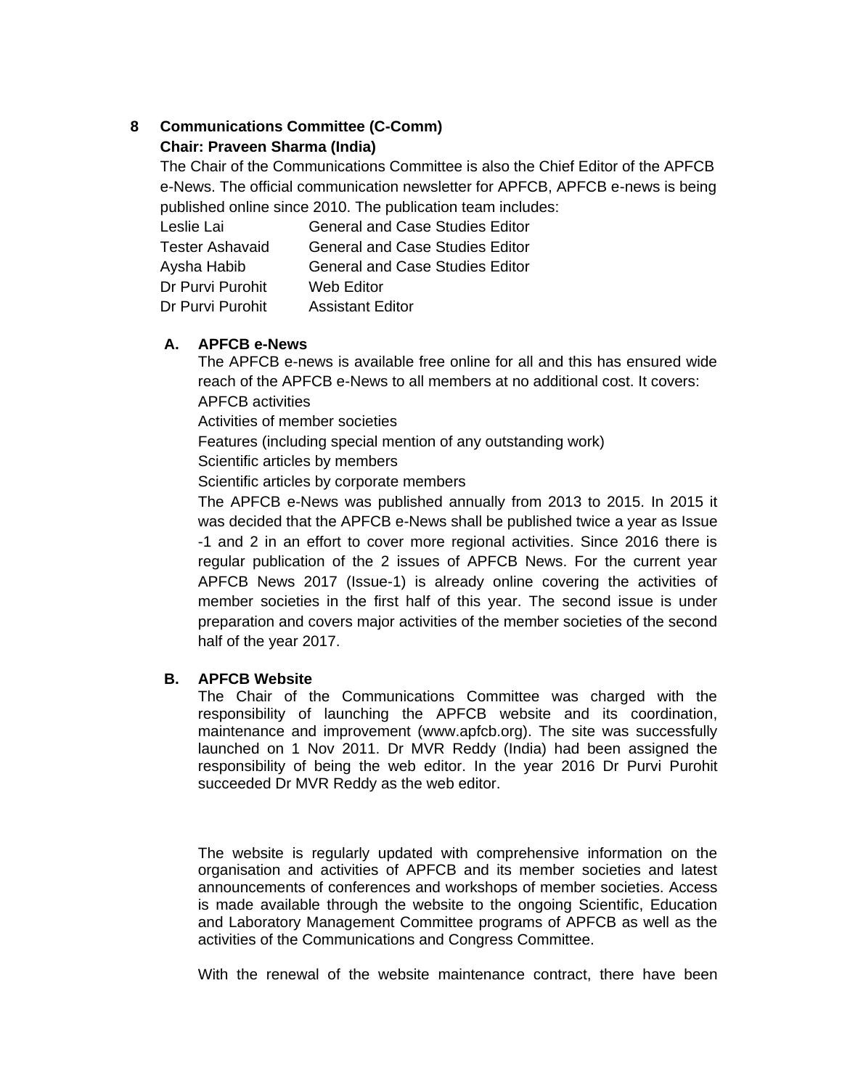# **8 Communications Committee (C-Comm) Chair: Praveen Sharma (India)**

The Chair of the Communications Committee is also the Chief Editor of the APFCB e-News. The official communication newsletter for APFCB, APFCB e-news is being published online since 2010. The publication team includes:

| Leslie Lai       | <b>General and Case Studies Editor</b> |
|------------------|----------------------------------------|
| Tester Ashavaid  | <b>General and Case Studies Editor</b> |
| Aysha Habib      | General and Case Studies Editor        |
| Dr Purvi Purohit | Web Editor                             |
| Dr Purvi Purohit | <b>Assistant Editor</b>                |

## **A. APFCB e-News**

The APFCB e-news is available free online for all and this has ensured wide reach of the APFCB e-News to all members at no additional cost. It covers: APFCB activities

Activities of member societies

Features (including special mention of any outstanding work)

Scientific articles by members

Scientific articles by corporate members

The APFCB e-News was published annually from 2013 to 2015. In 2015 it was decided that the APFCB e-News shall be published twice a year as Issue -1 and 2 in an effort to cover more regional activities. Since 2016 there is regular publication of the 2 issues of APFCB News. For the current year APFCB News 2017 (Issue-1) is already online covering the activities of member societies in the first half of this year. The second issue is under preparation and covers major activities of the member societies of the second half of the year 2017.

# **B. APFCB Website**

The Chair of the Communications Committee was charged with the responsibility of launching the APFCB website and its coordination, maintenance and improvement (www.apfcb.org). The site was successfully launched on 1 Nov 2011. Dr MVR Reddy (India) had been assigned the responsibility of being the web editor. In the year 2016 Dr Purvi Purohit succeeded Dr MVR Reddy as the web editor.

The website is regularly updated with comprehensive information on the organisation and activities of APFCB and its member societies and latest announcements of conferences and workshops of member societies. Access is made available through the website to the ongoing Scientific, Education and Laboratory Management Committee programs of APFCB as well as the activities of the Communications and Congress Committee.

With the renewal of the website maintenance contract, there have been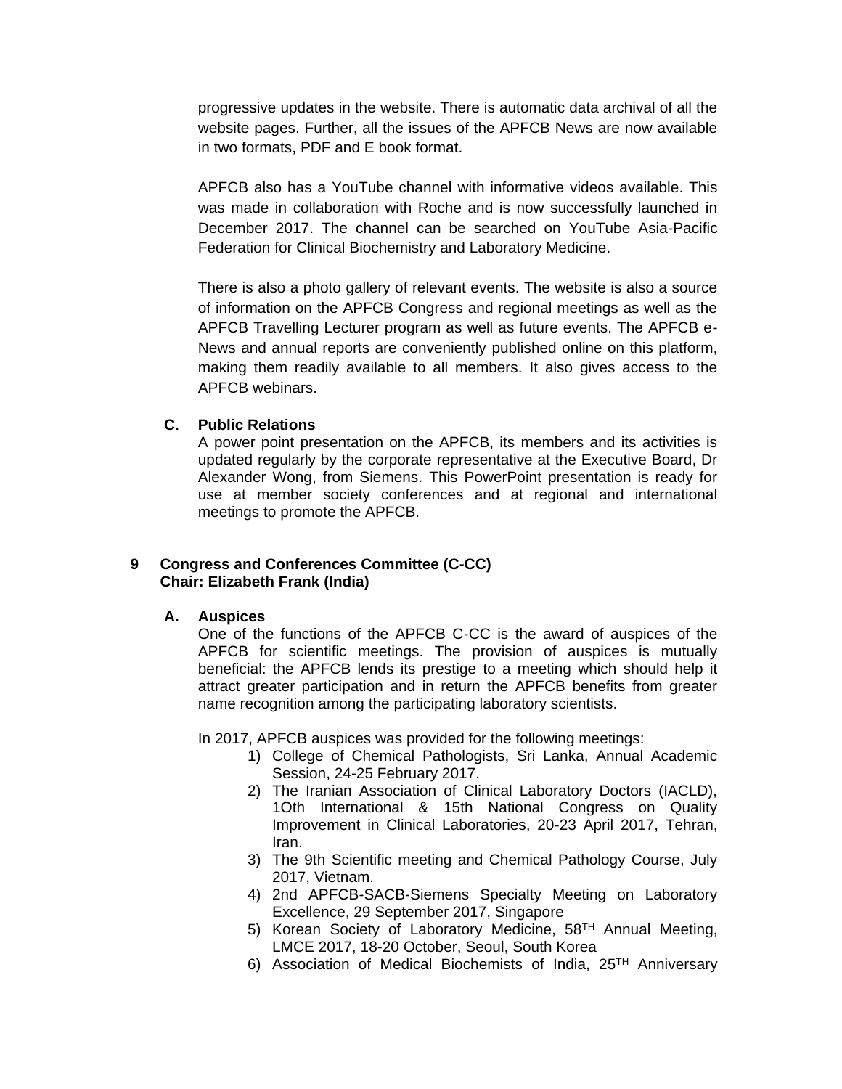progressive updates in the website. There is automatic data archival of all the website pages. Further, all the issues of the APFCB News are now available in two formats, PDF and E book format.

APFCB also has a YouTube channel with informative videos available. This was made in collaboration with Roche and is now successfully launched in December 2017. The channel can be searched on YouTube Asia-Pacific Federation for Clinical Biochemistry and Laboratory Medicine.

There is also a photo gallery of relevant events. The website is also a source of information on the APFCB Congress and regional meetings as well as the APFCB Travelling Lecturer program as well as future events. The APFCB e-News and annual reports are conveniently published online on this platform, making them readily available to all members. It also gives access to the APFCB webinars.

### **C. Public Relations**

A power point presentation on the APFCB, its members and its activities is updated regularly by the corporate representative at the Executive Board, Dr Alexander Wong, from Siemens. This PowerPoint presentation is ready for use at member society conferences and at regional and international meetings to promote the APFCB.

## **9 Congress and Conferences Committee (C-CC) Chair: Elizabeth Frank (India)**

#### **A. Auspices**

One of the functions of the APFCB C-CC is the award of auspices of the APFCB for scientific meetings. The provision of auspices is mutually beneficial: the APFCB lends its prestige to a meeting which should help it attract greater participation and in return the APFCB benefits from greater name recognition among the participating laboratory scientists.

In 2017, APFCB auspices was provided for the following meetings:

- 1) College of Chemical Pathologists, Sri Lanka, Annual Academic Session, 24-25 February 2017.
- 2) The Iranian Association of Clinical Laboratory Doctors (IACLD), 1Oth International & 15th National Congress on Quality Improvement in Clinical Laboratories, 20-23 April 2017, Tehran, Iran.
- 3) The 9th Scientific meeting and Chemical Pathology Course, July 2017, Vietnam.
- 4) 2nd APFCB-SACB-Siemens Specialty Meeting on Laboratory Excellence, 29 September 2017, Singapore
- 5) Korean Society of Laboratory Medicine, 58<sup>TH</sup> Annual Meeting, LMCE 2017, 18-20 October, Seoul, South Korea
- 6) Association of Medical Biochemists of India,  $25<sup>TH</sup>$  Anniversary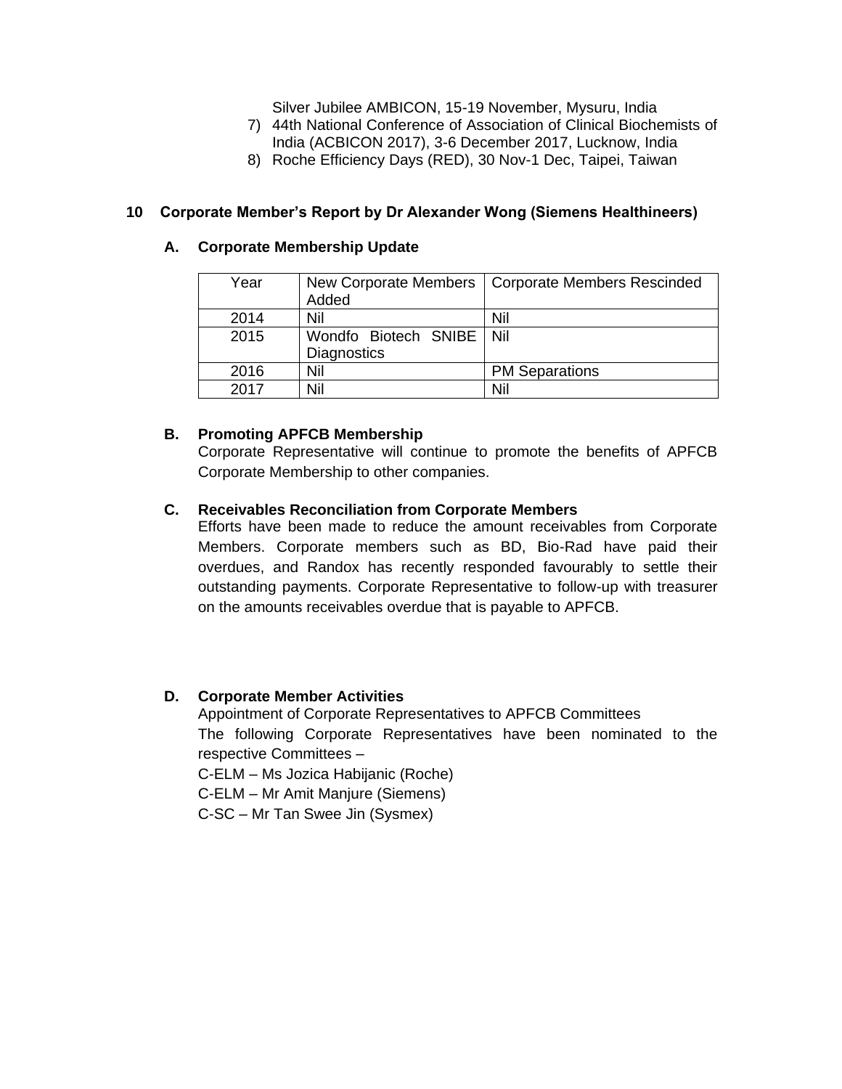Silver Jubilee AMBICON, 15-19 November, Mysuru, India

- 7) 44th National Conference of Association of Clinical Biochemists of
- India (ACBICON 2017), 3-6 December 2017, Lucknow, India
- 8) Roche Efficiency Days (RED), 30 Nov-1 Dec, Taipei, Taiwan

### **10 Corporate Member's Report by Dr Alexander Wong (Siemens Healthineers)**

#### **A. Corporate Membership Update**

| Year | New Corporate Members      | <b>Corporate Members Rescinded</b> |
|------|----------------------------|------------------------------------|
|      | Added                      |                                    |
| 2014 | Nil                        | Nil                                |
| 2015 | Wondfo Biotech SNIBE   Nil |                                    |
|      | <b>Diagnostics</b>         |                                    |
| 2016 | Nil                        | <b>PM Separations</b>              |
| 2017 | Nil                        | Nil                                |

#### **B. Promoting APFCB Membership**

Corporate Representative will continue to promote the benefits of APFCB Corporate Membership to other companies.

### **C. Receivables Reconciliation from Corporate Members**

Efforts have been made to reduce the amount receivables from Corporate Members. Corporate members such as BD, Bio-Rad have paid their overdues, and Randox has recently responded favourably to settle their outstanding payments. Corporate Representative to follow-up with treasurer on the amounts receivables overdue that is payable to APFCB.

#### **D. Corporate Member Activities**

Appointment of Corporate Representatives to APFCB Committees The following Corporate Representatives have been nominated to the respective Committees – C-ELM – Ms Jozica Habijanic (Roche) C-ELM – Mr Amit Manjure (Siemens)

C-SC – Mr Tan Swee Jin (Sysmex)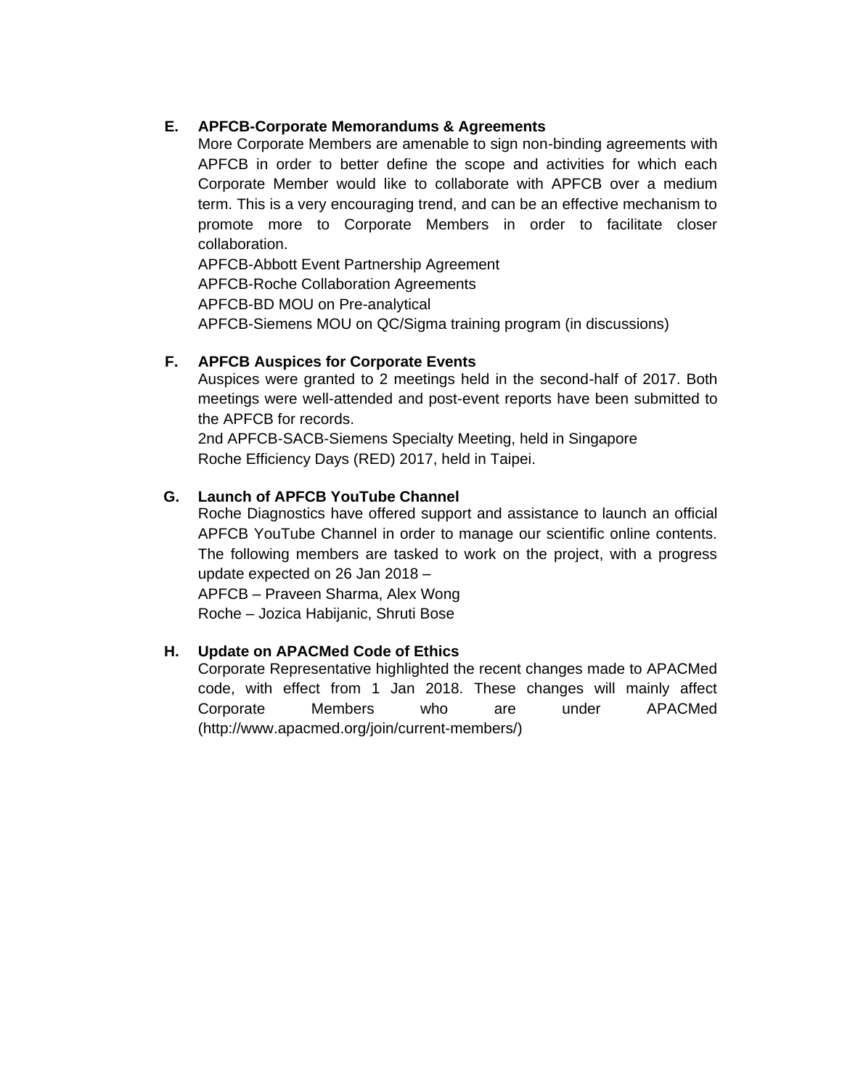## **E. APFCB-Corporate Memorandums & Agreements**

More Corporate Members are amenable to sign non-binding agreements with APFCB in order to better define the scope and activities for which each Corporate Member would like to collaborate with APFCB over a medium term. This is a very encouraging trend, and can be an effective mechanism to promote more to Corporate Members in order to facilitate closer collaboration.

APFCB-Abbott Event Partnership Agreement APFCB-Roche Collaboration Agreements APFCB-BD MOU on Pre-analytical APFCB-Siemens MOU on QC/Sigma training program (in discussions)

## **F. APFCB Auspices for Corporate Events**

Auspices were granted to 2 meetings held in the second-half of 2017. Both meetings were well-attended and post-event reports have been submitted to the APFCB for records.

2nd APFCB-SACB-Siemens Specialty Meeting, held in Singapore Roche Efficiency Days (RED) 2017, held in Taipei.

## **G. Launch of APFCB YouTube Channel**

Roche Diagnostics have offered support and assistance to launch an official APFCB YouTube Channel in order to manage our scientific online contents. The following members are tasked to work on the project, with a progress update expected on 26 Jan 2018 –

APFCB – Praveen Sharma, Alex Wong Roche – Jozica Habijanic, Shruti Bose

# **H. Update on APACMed Code of Ethics**

Corporate Representative highlighted the recent changes made to APACMed code, with effect from 1 Jan 2018. These changes will mainly affect Corporate Members who are under APACMed [\(http://www.apacmed.org/join/current-members/\)](http://www.apacmed.org/join/current-members/)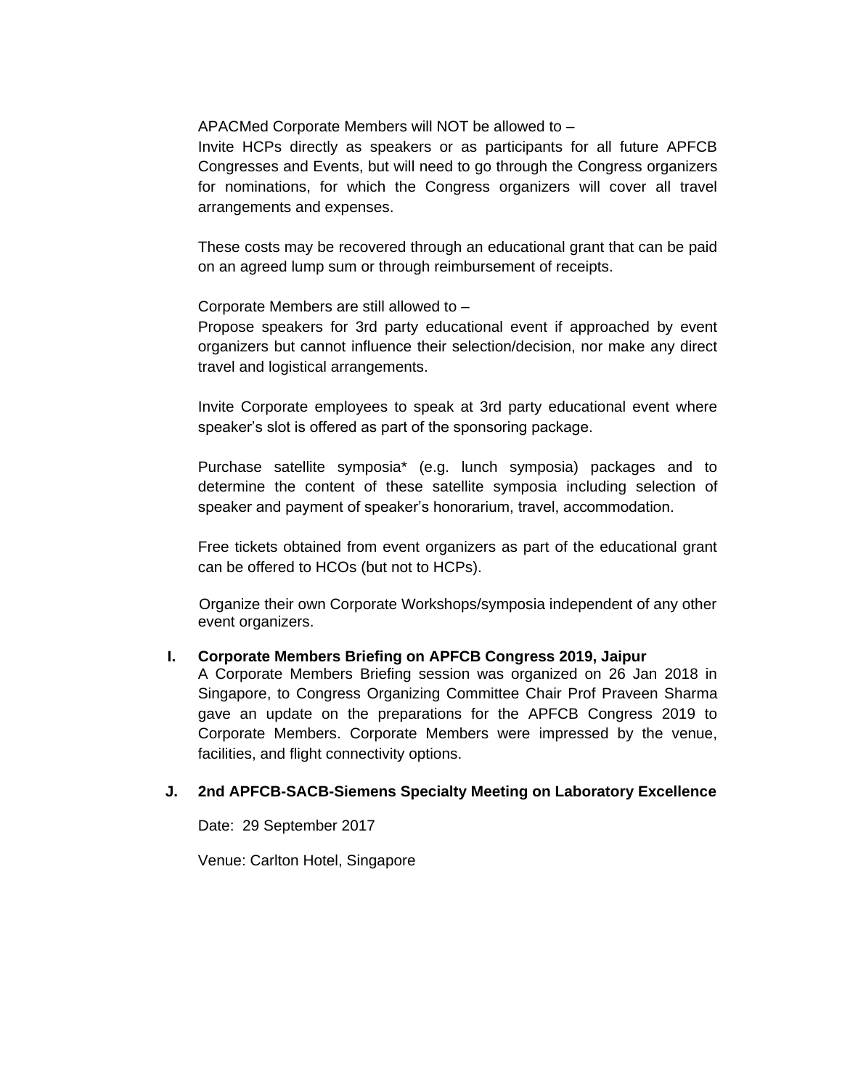APACMed Corporate Members will NOT be allowed to –

Invite HCPs directly as speakers or as participants for all future APFCB Congresses and Events, but will need to go through the Congress organizers for nominations, for which the Congress organizers will cover all travel arrangements and expenses.

These costs may be recovered through an educational grant that can be paid on an agreed lump sum or through reimbursement of receipts.

Corporate Members are still allowed to –

Propose speakers for 3rd party educational event if approached by event organizers but cannot influence their selection/decision, nor make any direct travel and logistical arrangements.

Invite Corporate employees to speak at 3rd party educational event where speaker's slot is offered as part of the sponsoring package.

Purchase satellite symposia\* (e.g. lunch symposia) packages and to determine the content of these satellite symposia including selection of speaker and payment of speaker's honorarium, travel, accommodation.

Free tickets obtained from event organizers as part of the educational grant can be offered to HCOs (but not to HCPs).

Organize their own Corporate Workshops/symposia independent of any other event organizers.

## **I. Corporate Members Briefing on APFCB Congress 2019, Jaipur**

A Corporate Members Briefing session was organized on 26 Jan 2018 in Singapore, to Congress Organizing Committee Chair Prof Praveen Sharma gave an update on the preparations for the APFCB Congress 2019 to Corporate Members. Corporate Members were impressed by the venue, facilities, and flight connectivity options.

## **J. 2nd APFCB-SACB-Siemens Specialty Meeting on Laboratory Excellence**

Date: 29 September 2017

Venue: Carlton Hotel, Singapore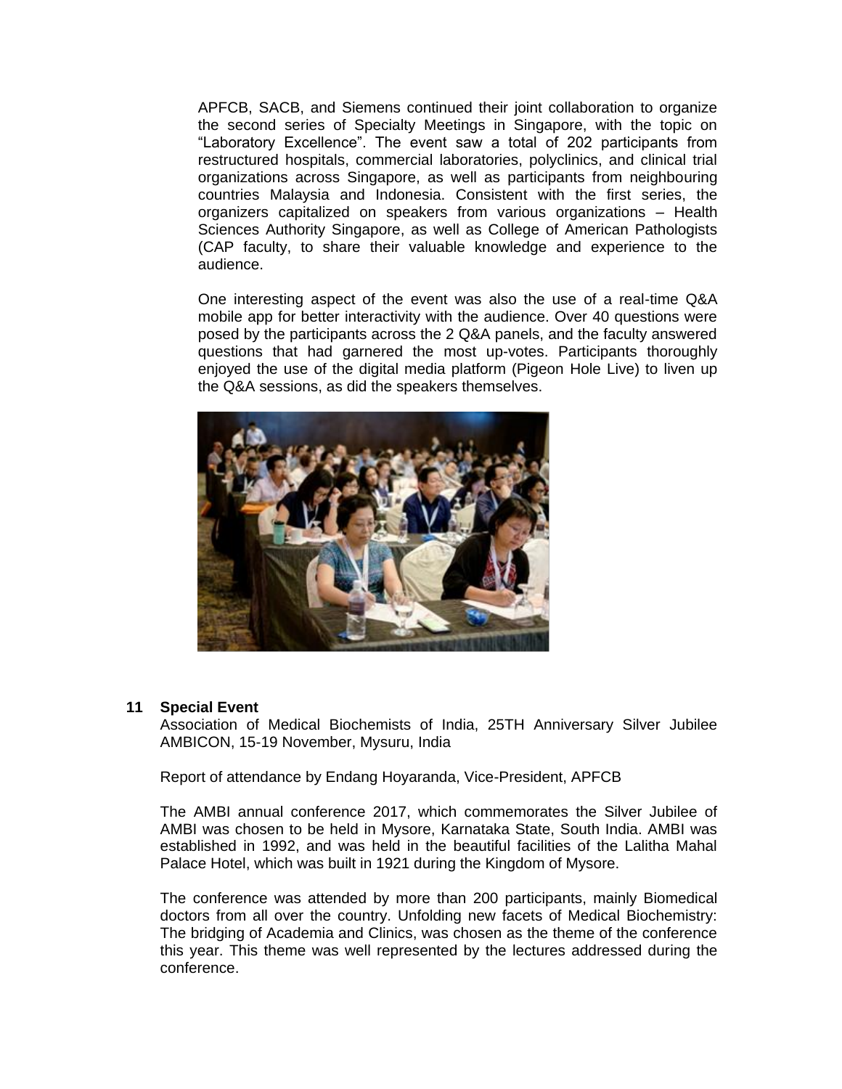APFCB, SACB, and Siemens continued their joint collaboration to organize the second series of Specialty Meetings in Singapore, with the topic on "Laboratory Excellence". The event saw a total of 202 participants from restructured hospitals, commercial laboratories, polyclinics, and clinical trial organizations across Singapore, as well as participants from neighbouring countries Malaysia and Indonesia. Consistent with the first series, the organizers capitalized on speakers from various organizations – Health Sciences Authority Singapore, as well as College of American Pathologists (CAP faculty, to share their valuable knowledge and experience to the audience.

One interesting aspect of the event was also the use of a real-time Q&A mobile app for better interactivity with the audience. Over 40 questions were posed by the participants across the 2 Q&A panels, and the faculty answered questions that had garnered the most up-votes. Participants thoroughly enjoyed the use of the digital media platform (Pigeon Hole Live) to liven up the Q&A sessions, as did the speakers themselves.



#### **11 Special Event**

Association of Medical Biochemists of India, 25TH Anniversary Silver Jubilee AMBICON, 15-19 November, Mysuru, India

Report of attendance by Endang Hoyaranda, Vice-President, APFCB

The AMBI annual conference 2017, which commemorates the Silver Jubilee of AMBI was chosen to be held in Mysore, Karnataka State, South India. AMBI was established in 1992, and was held in the beautiful facilities of the Lalitha Mahal Palace Hotel, which was built in 1921 during the Kingdom of Mysore.

The conference was attended by more than 200 participants, mainly Biomedical doctors from all over the country. Unfolding new facets of Medical Biochemistry: The bridging of Academia and Clinics, was chosen as the theme of the conference this year. This theme was well represented by the lectures addressed during the conference.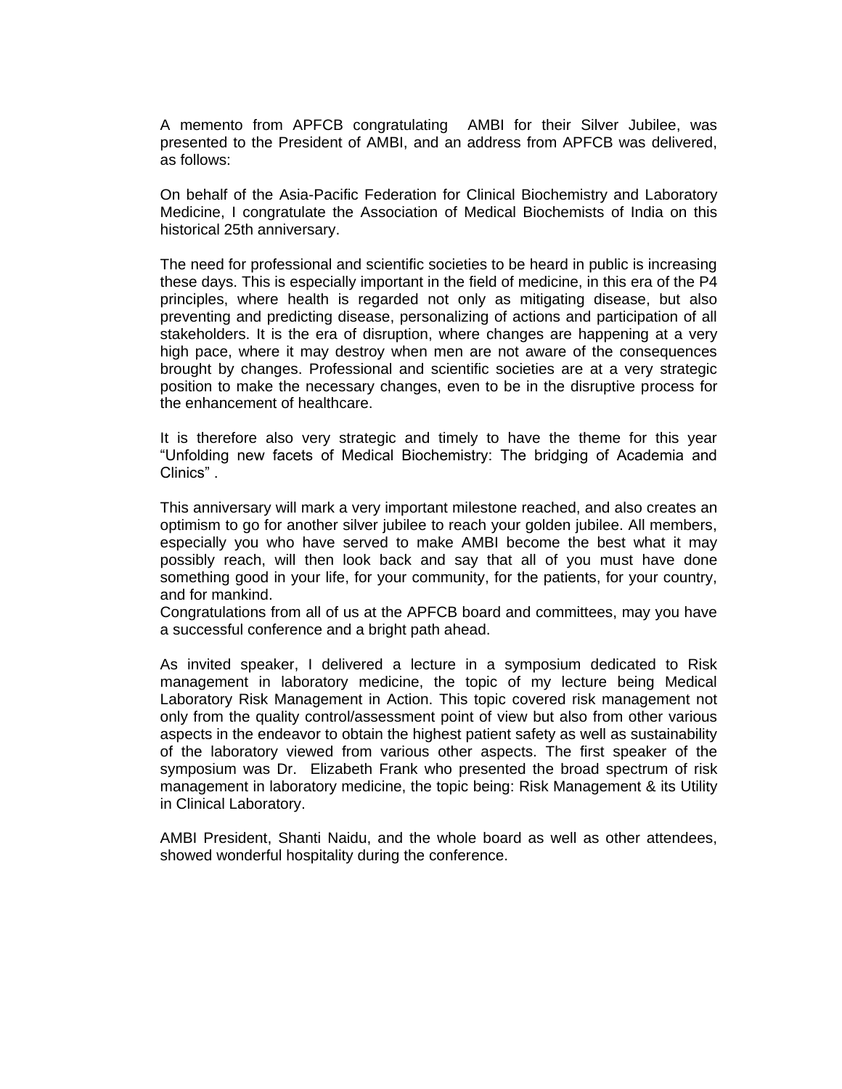A memento from APFCB congratulating AMBI for their Silver Jubilee, was presented to the President of AMBI, and an address from APFCB was delivered, as follows:

On behalf of the Asia-Pacific Federation for Clinical Biochemistry and Laboratory Medicine, I congratulate the Association of Medical Biochemists of India on this historical 25th anniversary.

The need for professional and scientific societies to be heard in public is increasing these days. This is especially important in the field of medicine, in this era of the P4 principles, where health is regarded not only as mitigating disease, but also preventing and predicting disease, personalizing of actions and participation of all stakeholders. It is the era of disruption, where changes are happening at a very high pace, where it may destroy when men are not aware of the consequences brought by changes. Professional and scientific societies are at a very strategic position to make the necessary changes, even to be in the disruptive process for the enhancement of healthcare.

It is therefore also very strategic and timely to have the theme for this year "Unfolding new facets of Medical Biochemistry: The bridging of Academia and Clinics" .

This anniversary will mark a very important milestone reached, and also creates an optimism to go for another silver jubilee to reach your golden jubilee. All members, especially you who have served to make AMBI become the best what it may possibly reach, will then look back and say that all of you must have done something good in your life, for your community, for the patients, for your country, and for mankind.

Congratulations from all of us at the APFCB board and committees, may you have a successful conference and a bright path ahead.

As invited speaker, I delivered a lecture in a symposium dedicated to Risk management in laboratory medicine, the topic of my lecture being Medical Laboratory Risk Management in Action. This topic covered risk management not only from the quality control/assessment point of view but also from other various aspects in the endeavor to obtain the highest patient safety as well as sustainability of the laboratory viewed from various other aspects. The first speaker of the symposium was Dr. Elizabeth Frank who presented the broad spectrum of risk management in laboratory medicine, the topic being: Risk Management & its Utility in Clinical Laboratory.

AMBI President, Shanti Naidu, and the whole board as well as other attendees, showed wonderful hospitality during the conference.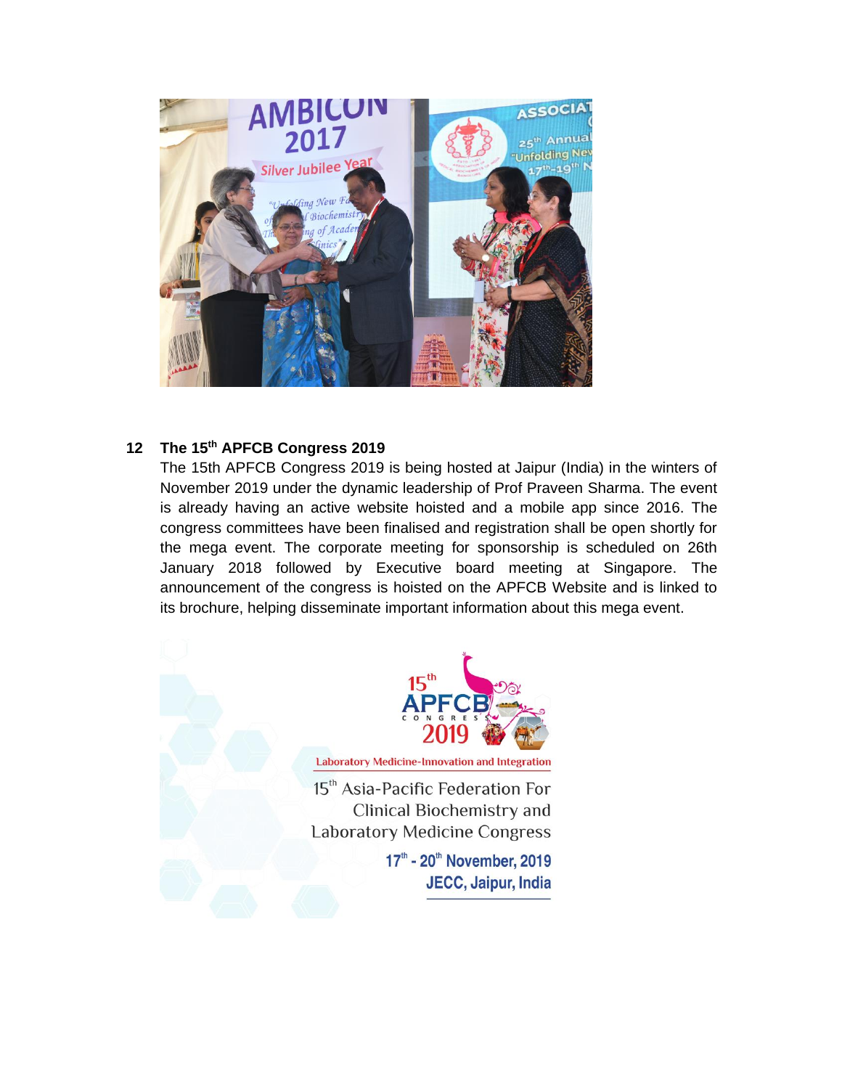

## **12 The 15th APFCB Congress 2019**

The 15th APFCB Congress 2019 is being hosted at Jaipur (India) in the winters of November 2019 under the dynamic leadership of Prof Praveen Sharma. The event is already having an active website hoisted and a mobile app since 2016. The congress committees have been finalised and registration shall be open shortly for the mega event. The corporate meeting for sponsorship is scheduled on 26th January 2018 followed by Executive board meeting at Singapore. The announcement of the congress is hoisted on the APFCB Website and is linked to its brochure, helping disseminate important information about this mega event.



**Laboratory Medicine-Innovation and Integration** 

15<sup>th</sup> Asia-Pacific Federation For Clinical Biochemistry and **Laboratory Medicine Congress** 

> 17th - 20th November, 2019 JECC, Jaipur, India